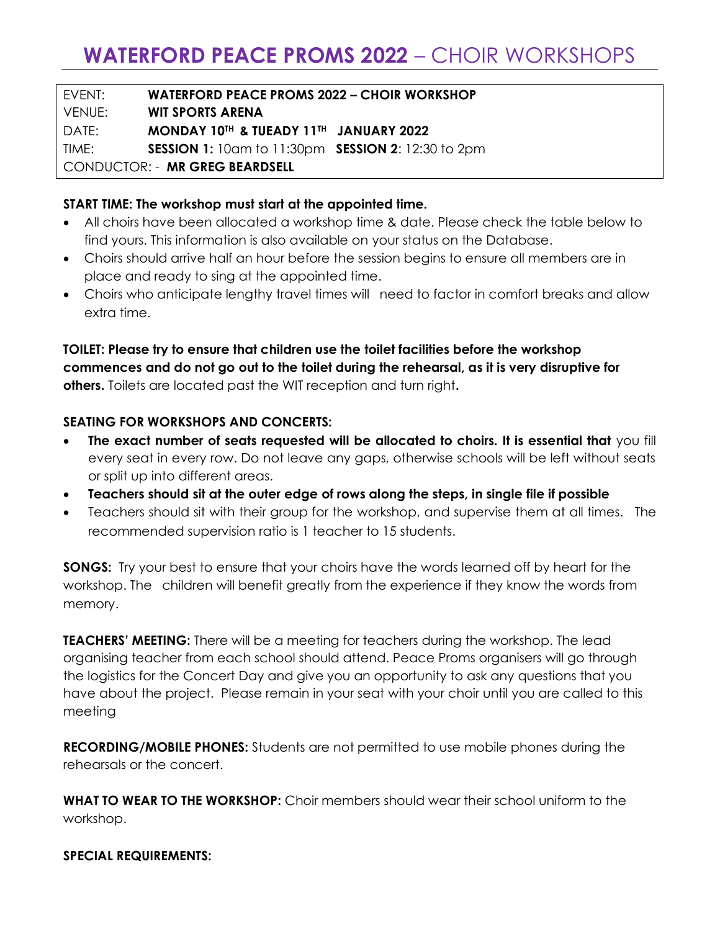EVENT: **WATERFORD PEACE PROMS 2022 – CHOIR WORKSHOP** VENUE: **WIT SPORTS ARENA** DATE: **MONDAY 10TH & TUEADY 11TH JANUARY 2022** TIME: **SESSION 1:** 10am to 11:30pm **SESSION 2**: 12:30 to 2pm CONDUCTOR: - **MR GREG BEARDSELL**

## **START TIME: The workshop must start at the appointed time.**

- All choirs have been allocated a workshop time & date. Please check the table below to find yours. This information is also available on your status on the Database.
- Choirs should arrive half an hour before the session begins to ensure all members are in place and ready to sing at the appointed time.
- Choirs who anticipate lengthy travel times will need to factor in comfort breaks and allow extra time.

**TOILET: Please try to ensure that children use the toilet facilities before the workshop commences and do not go out to the toilet during the rehearsal, as it is very disruptive for others.** Toilets are located past the WIT reception and turn right**.**

## **SEATING FOR WORKSHOPS AND CONCERTS:**

- **The exact number of seats requested will be allocated to choirs. It is essential that** you fill every seat in every row. Do not leave any gaps, otherwise schools will be left without seats or split up into different areas.
- **Teachers should sit at the outer edge of rows along the steps, in single file if possible**
- Teachers should sit with their group for the workshop, and supervise them at all times. The recommended supervision ratio is 1 teacher to 15 students.

**SONGS:** Try your best to ensure that your choirs have the words learned off by heart for the workshop. The children will benefit greatly from the experience if they know the words from memory.

**TEACHERS' MEETING:** There will be a meeting for teachers during the workshop. The lead organising teacher from each school should attend. Peace Proms organisers will go through the logistics for the Concert Day and give you an opportunity to ask any questions that you have about the project. Please remain in your seat with your choir until you are called to this meeting

**RECORDING/MOBILE PHONES:** Students are not permitted to use mobile phones during the rehearsals or the concert.

**WHAT TO WEAR TO THE WORKSHOP:** Choir members should wear their school uniform to the workshop.

#### **SPECIAL REQUIREMENTS:**